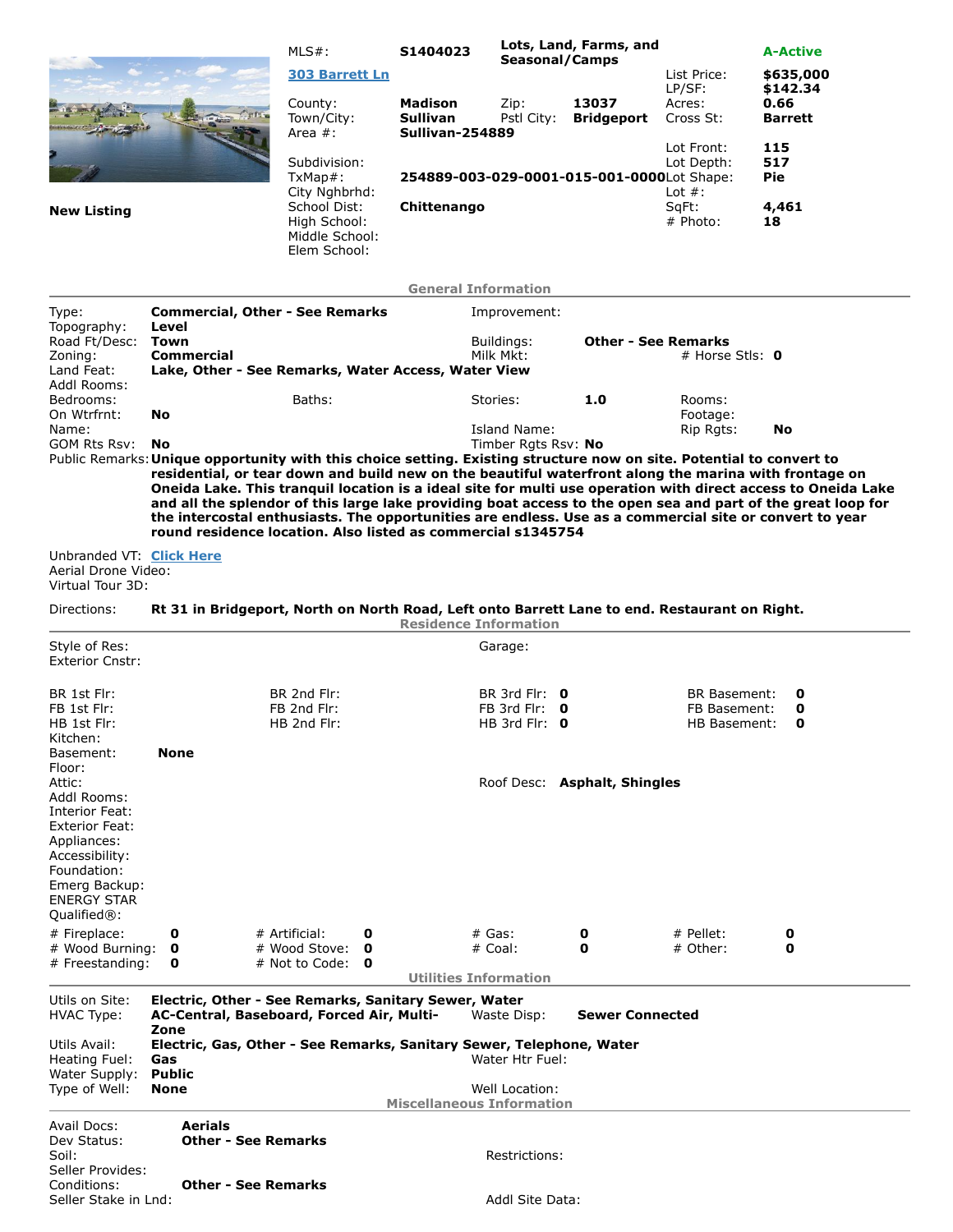|                                                                     |                                                                                                                                                                                                                               | $MLS#$ :                                       | S1404023                                             | Lots, Land, Farms, and<br>Seasonal/Camps |                                            |                               | <b>A-Active</b>                    |  |  |
|---------------------------------------------------------------------|-------------------------------------------------------------------------------------------------------------------------------------------------------------------------------------------------------------------------------|------------------------------------------------|------------------------------------------------------|------------------------------------------|--------------------------------------------|-------------------------------|------------------------------------|--|--|
|                                                                     |                                                                                                                                                                                                                               | 303 Barrett Ln                                 |                                                      |                                          |                                            | List Price:                   | \$635,000                          |  |  |
|                                                                     |                                                                                                                                                                                                                               | County:<br>Town/City:<br>Area #:               | <b>Madison</b><br><b>Sullivan</b><br>Sullivan-254889 | Zip:<br>Pstl City:                       | 13037<br><b>Bridgeport</b>                 | LP/SF:<br>Acres:<br>Cross St: | \$142.34<br>0.66<br><b>Barrett</b> |  |  |
|                                                                     |                                                                                                                                                                                                                               | Subdivision:<br>$TxMap#$ :                     |                                                      |                                          | 254889-003-029-0001-015-001-0000Lot Shape: | Lot Front:<br>Lot Depth:      | 115<br>517<br><b>Pie</b>           |  |  |
| <b>New Listing</b>                                                  |                                                                                                                                                                                                                               | City Nghbrhd:<br>School Dist:                  | Chittenango                                          |                                          |                                            | Lot $#$ :<br>SqFt:            | 4,461                              |  |  |
|                                                                     |                                                                                                                                                                                                                               | High School:<br>Middle School:<br>Elem School: |                                                      |                                          |                                            | # Photo:                      | 18                                 |  |  |
|                                                                     |                                                                                                                                                                                                                               |                                                | <b>General Information</b>                           |                                          |                                            |                               |                                    |  |  |
| Type:                                                               | <b>Commercial, Other - See Remarks</b><br>Level                                                                                                                                                                               |                                                |                                                      | Improvement:                             |                                            |                               |                                    |  |  |
| Topography:<br>Road Ft/Desc:                                        | Town                                                                                                                                                                                                                          |                                                |                                                      | Buildings:                               | <b>Other - See Remarks</b>                 |                               |                                    |  |  |
| Zoning:<br>Land Feat:                                               | <b>Commercial</b><br>Lake, Other - See Remarks, Water Access, Water View                                                                                                                                                      |                                                |                                                      | Milk Mkt:                                |                                            | # Horse Stls: $\mathbf 0$     |                                    |  |  |
| Addl Rooms:                                                         |                                                                                                                                                                                                                               |                                                |                                                      |                                          |                                            |                               |                                    |  |  |
| Bedrooms:<br>On Wtrfrnt:                                            | <b>No</b>                                                                                                                                                                                                                     | Baths:                                         |                                                      | Stories:                                 | 1.0                                        | Rooms:<br>Footage:            |                                    |  |  |
| Name:                                                               |                                                                                                                                                                                                                               |                                                |                                                      | Island Name:                             |                                            | Rip Rgts:                     | No                                 |  |  |
| GOM Rts Rsv:                                                        | No.<br>Public Remarks: Unique opportunity with this choice setting. Existing structure now on site. Potential to convert to                                                                                                   |                                                |                                                      | Timber Rgts Rsv: No                      |                                            |                               |                                    |  |  |
|                                                                     | residential, or tear down and build new on the beautiful waterfront along the marina with frontage on                                                                                                                         |                                                |                                                      |                                          |                                            |                               |                                    |  |  |
|                                                                     | Oneida Lake. This tranquil location is a ideal site for multi use operation with direct access to Oneida Lake<br>and all the splendor of this large lake providing boat access to the open sea and part of the great loop for |                                                |                                                      |                                          |                                            |                               |                                    |  |  |
|                                                                     | the intercostal enthusiasts. The opportunities are endless. Use as a commercial site or convert to year                                                                                                                       |                                                |                                                      |                                          |                                            |                               |                                    |  |  |
|                                                                     | round residence location. Also listed as commercial s1345754                                                                                                                                                                  |                                                |                                                      |                                          |                                            |                               |                                    |  |  |
| Unbranded VT: Click Here<br>Aerial Drone Video:<br>Virtual Tour 3D: |                                                                                                                                                                                                                               |                                                |                                                      |                                          |                                            |                               |                                    |  |  |
| Directions:                                                         | Rt 31 in Bridgeport, North on North Road, Left onto Barrett Lane to end. Restaurant on Right.                                                                                                                                 |                                                | <b>Residence Information</b>                         |                                          |                                            |                               |                                    |  |  |
| Style of Res:                                                       |                                                                                                                                                                                                                               |                                                |                                                      | Garage:                                  |                                            |                               |                                    |  |  |
| <b>Exterior Cnstr:</b>                                              |                                                                                                                                                                                                                               |                                                |                                                      |                                          |                                            |                               |                                    |  |  |
| BR 1st Flr:                                                         |                                                                                                                                                                                                                               | BR 2nd Flr:                                    |                                                      | BR 3rd Flr: $\theta$                     |                                            | <b>BR Basement:</b>           | 0                                  |  |  |
| FB 1st Flr:                                                         |                                                                                                                                                                                                                               | FB 2nd Flr:                                    |                                                      | FB 3rd Flr: $\theta$                     |                                            | FB Basement:                  | 0                                  |  |  |
| HB 1st Flr:<br>Kitchen:                                             |                                                                                                                                                                                                                               | HB 2nd Flr:                                    |                                                      | HB 3rd Flr: $\theta$                     |                                            | HB Basement:                  | 0                                  |  |  |
| Basement:                                                           | None                                                                                                                                                                                                                          |                                                |                                                      |                                          |                                            |                               |                                    |  |  |
| Floor:                                                              |                                                                                                                                                                                                                               |                                                |                                                      |                                          |                                            |                               |                                    |  |  |
| Attic:<br>Addl Rooms:                                               | Roof Desc: Asphalt, Shingles                                                                                                                                                                                                  |                                                |                                                      |                                          |                                            |                               |                                    |  |  |
| Interior Feat:<br><b>Exterior Feat:</b><br>Appliances:              |                                                                                                                                                                                                                               |                                                |                                                      |                                          |                                            |                               |                                    |  |  |
| Accessibility:                                                      |                                                                                                                                                                                                                               |                                                |                                                      |                                          |                                            |                               |                                    |  |  |
| Foundation:<br>Emerg Backup:                                        |                                                                                                                                                                                                                               |                                                |                                                      |                                          |                                            |                               |                                    |  |  |
| <b>ENERGY STAR</b>                                                  |                                                                                                                                                                                                                               |                                                |                                                      |                                          |                                            |                               |                                    |  |  |
| Qualified <sup>®</sup> :<br># Fireplace:                            |                                                                                                                                                                                                                               |                                                |                                                      |                                          |                                            |                               |                                    |  |  |
| # Wood Burning:                                                     | 0<br>0                                                                                                                                                                                                                        | # Artificial:<br>0<br># Wood Stove:<br>0       | # Gas:                                               | # Coal:                                  | 0<br>0                                     | # Pellet:<br># Other:         | 0<br>0                             |  |  |
| # Freestanding:                                                     | 0                                                                                                                                                                                                                             | # Not to Code:<br>$\mathbf{o}$                 |                                                      |                                          |                                            |                               |                                    |  |  |
|                                                                     |                                                                                                                                                                                                                               |                                                | <b>Utilities Information</b>                         |                                          |                                            |                               |                                    |  |  |
| Utils on Site:<br><b>HVAC Type:</b>                                 | Electric, Other - See Remarks, Sanitary Sewer, Water<br>AC-Central, Baseboard, Forced Air, Multi-                                                                                                                             |                                                |                                                      | Waste Disp:                              | <b>Sewer Connected</b>                     |                               |                                    |  |  |
| Utils Avail:<br>Heating Fuel:                                       | Zone<br>Electric, Gas, Other - See Remarks, Sanitary Sewer, Telephone, Water<br>Water Htr Fuel:<br>Gas                                                                                                                        |                                                |                                                      |                                          |                                            |                               |                                    |  |  |
| Water Supply: Public<br>Type of Well:                               | None                                                                                                                                                                                                                          |                                                |                                                      | Well Location:                           |                                            |                               |                                    |  |  |
|                                                                     |                                                                                                                                                                                                                               |                                                | <b>Miscellaneous Information</b>                     |                                          |                                            |                               |                                    |  |  |
| Avail Docs:                                                         | <b>Aerials</b>                                                                                                                                                                                                                |                                                |                                                      |                                          |                                            |                               |                                    |  |  |
| Dev Status:<br>Soil:                                                | <b>Other - See Remarks</b>                                                                                                                                                                                                    |                                                |                                                      | Restrictions:                            |                                            |                               |                                    |  |  |
| Seller Provides:                                                    |                                                                                                                                                                                                                               |                                                |                                                      |                                          |                                            |                               |                                    |  |  |
| Conditions:<br>Seller Stake in Lnd:                                 | <b>Other - See Remarks</b>                                                                                                                                                                                                    |                                                |                                                      | Addl Site Data:                          |                                            |                               |                                    |  |  |